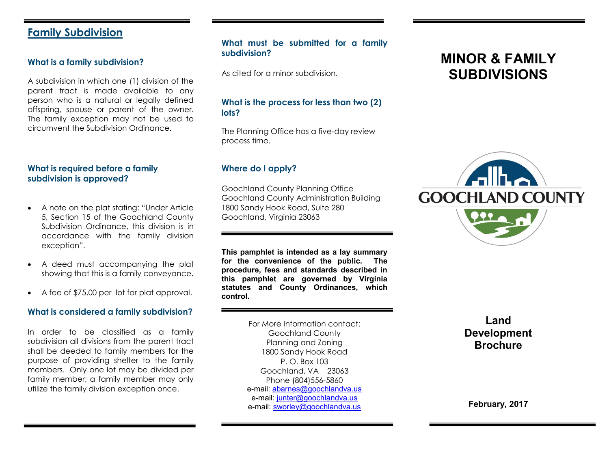# **Family Subdivision**

#### **What is a family subdivision?**

A subdivision in which one (1) division of the parent tract is made available to any person who is a natural or legally defined offspring, spouse or parent of the owner. The family exception may not be used to circumvent the Subdivision Ordinance.

## **What is required before a family subdivision is approved?**

- A note on the plat stating: "Under Article 5, Section 15 of the Goochland County Subdivision Ordinance, this division is in accordance with the family division exception".
- A deed must accompanying the plat showing that this is a family conveyance.
- A fee of \$75.00 per lot for plat approval.

#### **What is considered a family subdivision?**

In order to be classified as a family subdivision all divisions from the parent tract shall be deeded to family members for the purpose of providing shelter to the family members. Only one lot may be divided per family member; a family member may only utilize the family division exception once.

# **What must be submitted for a family subdivision?**

As cited for a minor subdivision.

#### **What is the process for less than two (2) lots?**

The Planning Office has a five-day review process time.

#### **Where do I apply?**

Goochland County Planning Office Goochland County Administration Building 1800 Sandy Hook Road, Suite 280 Goochland, Virginia 23063

**This pamphlet is intended as a lay summary for the convenience of the public. The procedure, fees and standards described in this pamphlet are governed by Virginia statutes and County Ordinances, which control.**

> For More Information contact: Goochland County Planning and Zoning 1800 Sandy Hook Road P. O. Box 103 Goochland, VA 23063 Phone (804)556-5860 e-mail: [abarnes@goochlandva.us](mailto:abarnes@goochlandva.us) e-mail: [junter@goochlandva.us](mailto:junter@goochlandva.us) e-mail: [sworley@goochlandva.us](mailto:sworley@goochlandva.us)

# **MINOR & FAMILY SUBDIVISIONS**



**Land Development Brochure**

**February, 2017**